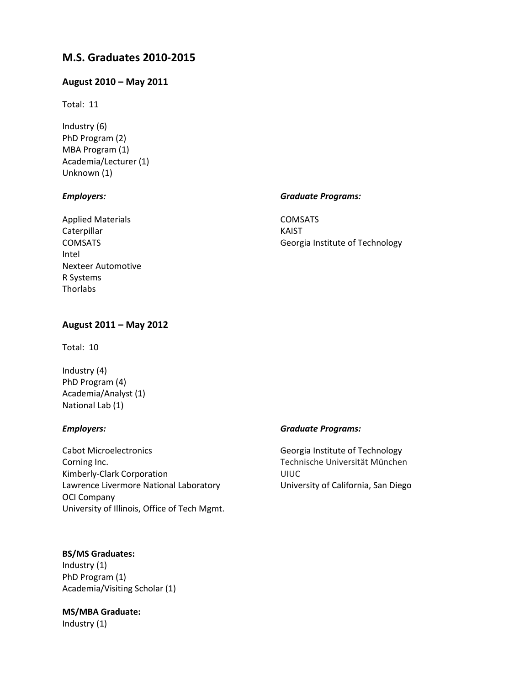# **M.S. Graduates 2010-2015**

# **August 2010 – May 2011**

Total: 11

Industry (6) PhD Program (2) MBA Program (1) Academia/Lecturer (1) Unknown (1)

# *Employers:*

Applied Materials Caterpillar COMSATS Intel Nexteer Automotive R Systems **Thorlabs** 

## *Graduate Programs:*

COMSATS KAIST Georgia Institute of Technology

# **August 2011 – May 2012**

Total: 10

Industry (4) PhD Program (4) Academia/Analyst (1) National Lab (1)

#### *Employers:*

Cabot Microelectronics Corning Inc. Kimberly-Clark Corporation Lawrence Livermore National Laboratory OCI Company University of Illinois, Office of Tech Mgmt.

# **BS/MS Graduates:**

Industry (1) PhD Program (1) Academia/Visiting Scholar (1)

# **MS/MBA Graduate:**

Industry (1)

#### *Graduate Programs:*

Georgia Institute of Technology Technische Universität München UIUC University of California, San Diego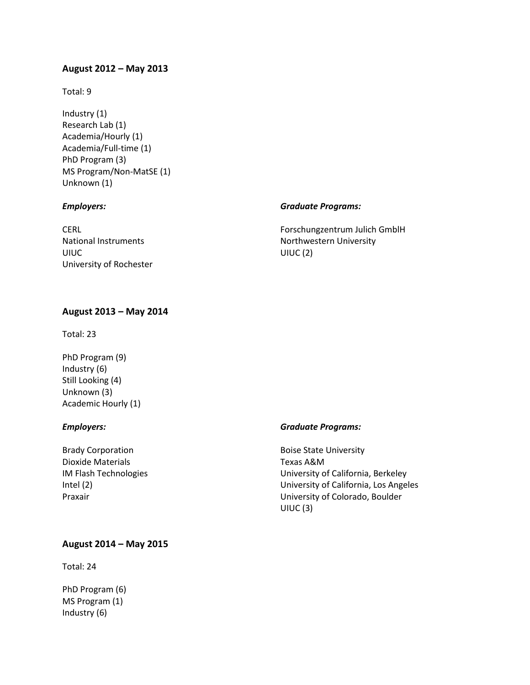# **August 2012 – May 2013**

Total: 9

Industry (1) Research Lab (1) Academia/Hourly (1) Academia/Full-time (1) PhD Program (3) MS Program/Non-MatSE (1) Unknown (1)

## *Employers:*

CERL National Instruments UIUC University of Rochester

# *Graduate Programs:*

Forschungzentrum Julich GmblH Northwestern University UIUC (2)

# **August 2013 – May 2014**

Total: 23

PhD Program (9) Industry (6) Still Looking (4) Unknown (3) Academic Hourly (1)

# *Employers:*

Brady Corporation Dioxide Materials IM Flash Technologies Intel (2) Praxair

#### *Graduate Programs:*

Boise State University Texas A&M University of California, Berkeley University of California, Los Angeles University of Colorado, Boulder UIUC (3)

## **August 2014 – May 2015**

Total: 24

PhD Program (6) MS Program (1) Industry (6)